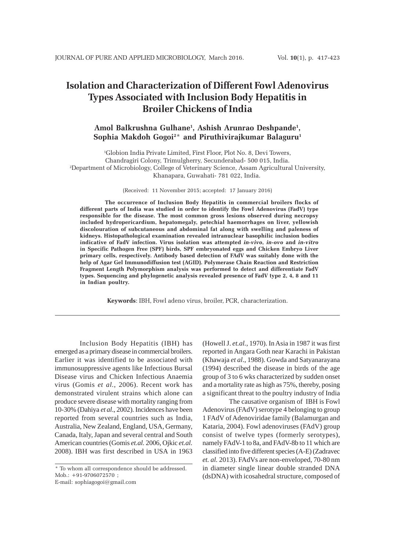# **Isolation and Characterization of Different Fowl Adenovirus Types Associated with Inclusion Body Hepatitis in Broiler Chickens of India**

# **Amol Balkrushna Gulhane1 , Ashish Arunrao Deshpande1 , Sophia Makdoh Gogoi2** \* **and Piruthivirajkumar Balaguru1**

1 Globion India Private Limited, First Floor, Plot No. 8, Devi Towers, Chandragiri Colony, Trimulgherry, Secunderabad- 500 015, India. 2 Department of Microbiology, College of Veterinary Science, Assam Agricultural University, Khanapara, Guwahati- 781 022, India.

(Received: 11 November 2015; accepted: 17 January 2016)

**The occurrence of Inclusion Body Hepatitis in commercial broilers flocks of different parts of India was studied in order to identify the Fowl Adenovirus (FadV) type responsible for the disease. The most common gross lesions observed during necropsy included hydropericardium, hepatomegaly, petechial haemorrhages on liver, yellowish discolouration of subcutaneous and abdominal fat along with swelling and paleness of kidneys. Histopathological examination revealed intranuclear basophilic inclusion bodies indicative of FadV infection. Virus isolation was attempted** *in-vivo***,** *in-ovo* **and** *in-vitro* **in Specific Pathogen Free (SPF) birds, SPF embryonated eggs and Chicken Embryo Liver primary cells, respectively. Antibody based detection of FAdV was suitably done with the help of Agar Gel Immunodiffusion test (AGID). Polymerase Chain Reaction and Restriction Fragment Length Polymorphism analysis was performed to detect and differentiate FadV types. Sequencing and phylogenetic analysis revealed presence of FadV type 2, 4, 8 and 11 in Indian poultry.**

**Keywords**: IBH, Fowl adeno virus, broiler, PCR, characterization.

Inclusion Body Hepatitis (IBH) has emerged as a primary disease in commercial broilers. Earlier it was identified to be associated with immunosuppressive agents like Infectious Bursal Disease virus and Chicken Infectious Anaemia virus (Gomis *et al.*, 2006). Recent work has demonstrated virulent strains which alone can produce severe disease with mortality ranging from 10-30% (Dahiya *et al*., 2002). Incidences have been reported from several countries such as India, Australia, New Zealand, England, USA, Germany, Canada, Italy, Japan and several central and South American countries (Gomis *et.al.* 2006, Ojkic *et.al.* 2008). IBH was first described in USA in 1963

(Howell J. *et.al.*, 1970). In Asia in 1987 it was first reported in Angara Goth near Karachi in Pakistan (Khawaja *et al*., 1988). Gowda and Satyanarayana (1994) described the disease in birds of the age group of 3 to 6 wks characterized by sudden onset and a mortality rate as high as 75%, thereby, posing a significant threat to the poultry industry of India

 The causative organism of IBH is Fowl Adenovirus (FAdV) serotype 4 belonging to group 1 FAdV of Adenoviridae family (Balamurgan and Kataria, 2004). Fowl adenoviruses (FAdV) group consist of twelve types (formerly serotypes), namely FAdV-1 to 8a, and FAdV-8b to 11 which are classified into five different species (A-E) (Zadravec *et. al.* 2013). FAdVs are non-enveloped, 70-80 nm in diameter single linear double stranded DNA (dsDNA) with icosahedral structure, composed of

<sup>\*</sup> To whom all correspondence should be addressed. Mob.: +91-9706072570 ; E-mail: sophiagogoi@gmail.com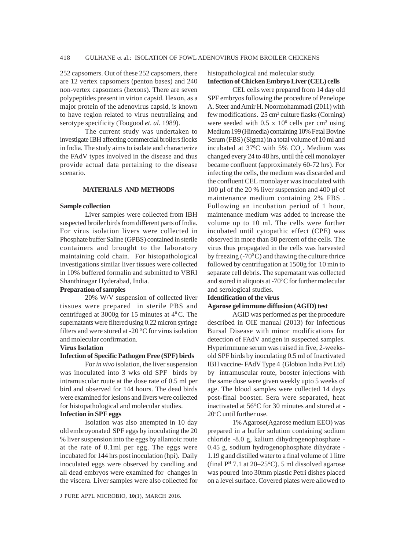252 capsomers. Out of these 252 capsomers, there are 12 vertex capsomers (penton bases) and 240 non-vertex capsomers (hexons). There are seven polypeptides present in virion capsid. Hexon, as a major protein of the adenovirus capsid, is known to have region related to virus neutralizing and serotype specificity (Toogood *et. al.* 1989).

The current study was undertaken to investigate IBH affecting commercial broilers flocks in India. The study aims to isolate and characterize the FAdV types involved in the disease and thus provide actual data pertaining to the disease scenario.

# **MATERIALS AND METHODS**

### **Sample collection**

Liver samples were collected from IBH suspected broiler birds from different parts of India. For virus isolation livers were collected in Phosphate buffer Saline (GPBS) contained in sterile containers and brought to the laboratory maintaining cold chain. For histopathological investigations similar liver tissues were collected in 10% buffered formalin and submitted to VBRI Shanthinagar Hyderabad, India.

# **Preparation of samples**

20% W/V suspension of collected liver tissues were prepared in sterile PBS and centrifuged at 3000g for 15 minutes at  $4^{\circ}$ C. The supernatants were filtered using 0.22 micron syringe filters and were stored at -20 $\mathrm{^0C}$  for virus isolation and molecular confirmation.

#### **Virus Isolation**

# **Infection of Specific Pathogen Free (SPF) birds**

For *in vivo* isolation, the liver suspension was inoculated into 3 wks old SPF birds by intramuscular route at the dose rate of 0.5 ml per bird and observed for 144 hours. The dead birds were examined for lesions and livers were collected for histopathological and molecular studies.

## **Infection in SPF eggs**

Isolation was also attempted in 10 day old embroyonated SPF eggs by inoculating the 20 % liver suspension into the eggs by allantoic route at the rate of 0.1ml per egg. The eggs were incubated for 144 hrs post inoculation (hpi). Daily inoculated eggs were observed by candling and all dead embryos were examined for changes in the viscera. Liver samples were also collected for

J PURE APPL MICROBIO*,* **10**(1), MARCH 2016.

histopathological and molecular study. **Infection of Chicken Embryo Liver (CEL) cells**

CEL cells were prepared from 14 day old SPF embryos following the procedure of Penelope A. Steer and Amir H. Noormohammadi (2011) with few modifications. 25 cm<sup>2</sup> culture flasks (Corning) were seeded with  $0.5 \times 10^6$  cells per cm<sup>2</sup> using Medium 199 (Himedia) containing 10% Fetal Bovine Serum (FBS) (Sigma) in a total volume of 10 ml and incubated at 37<sup>o</sup>C with 5%  $CO<sub>2</sub>$ . Medium was changed every 24 to 48 hrs, until the cell monolayer became confluent (approximately 60-72 hrs). For infecting the cells, the medium was discarded and the confluent CEL monolayer was inoculated with 100 µl of the 20 % liver suspension and 400 µl of maintenance medium containing 2% FBS . Following an incubation period of 1 hour, maintenance medium was added to increase the volume up to 10 ml. The cells were further incubated until cytopathic effect (CPE) was observed in more than 80 percent of the cells. The virus thus propagated in the cells was harvested by freezing  $(-70^{\circ}C)$  and thawing the culture thrice followed by centrifugation at 1500g for 10 min to separate cell debris. The supernatant was collected and stored in aliquots at -70 $\mathrm{^0C}$  for further molecular and serological studies.

# **Identification of the virus Agarose gel immune diffusion (AGID) test**

AGID was performed as per the procedure described in OIE manual (2013) for Infectious Bursal Disease with minor modifications for detection of FAdV antigen in suspected samples. Hyperimmune serum was raised in five, 2-weeksold SPF birds by inoculating 0.5 ml of Inactivated IBH vaccine- FAdV Type 4 (Globion India Pvt Ltd) by intramuscular route, booster injections with the same dose were given weekly upto 5 weeks of age. The blood samples were collected 14 days post-final booster. Sera were separated, heat inactivated at 56°C for 30 minutes and stored at - 20°C until further use.

1% Agarose(Agarose medium EEO) was prepared in a buffer solution containing sodium chloride -8.0 g, kalium dihydrogenophosphate - 0.45 g, sodium hydrogenophosphate dihydrate - 1.19 g and distilled water to a final volume of 1 litre (final  $P<sup>H</sup>$  7.1 at 20–25°C). 5 ml dissolved agarose was poured into 30mm plastic Petri dishes placed on a level surface. Covered plates were allowed to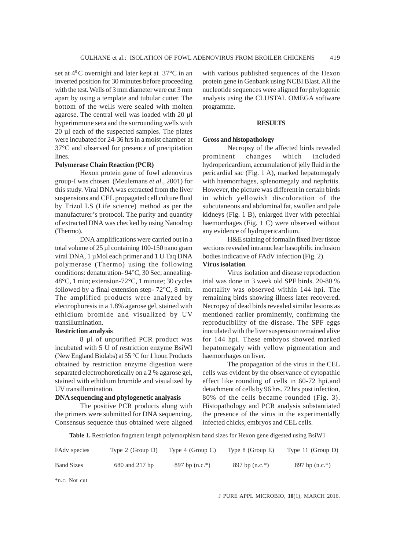set at  $4^{\circ}$ C overnight and later kept at 37 $^{\circ}$ C in an inverted position for 30 minutes before proceeding with the test. Wells of 3 mm diameter were cut 3 mm apart by using a template and tubular cutter. The bottom of the wells were sealed with molten agarose. The central well was loaded with 20 µl hyperimmune sera and the surrounding wells with 20 µl each of the suspected samples. The plates were incubated for 24-36 hrs in a moist chamber at 37°C and observed for presence of precipitation lines.

# **Polymerase Chain Reaction (PCR)**

Hexon protein gene of fowl adenovirus group-I was chosen (Meulemans *et al*., 2001) for this study. Viral DNA was extracted from the liver suspensions and CEL propagated cell culture fluid by Trizol LS (Life science) method as per the manufacturer's protocol. The purity and quantity of extracted DNA was checked by using Nanodrop (Thermo).

DNA amplifications were carried out in a total volume of 25 µl containing 100-150 nano gram viral DNA, 1 µMol each primer and 1 U Taq DNA polymerase (Thermo) using the following conditions: denaturation- 94°C, 30 Sec; annealing-48°C, 1 min; extension-72°C, 1 minute; 30 cycles followed by a final extension step- 72°C, 8 min. The amplified products were analyzed by electrophoresis in a 1.8% agarose gel, stained with ethidium bromide and visualized by UV transillumination.

# **Restriction analysis**

8 µl of unpurified PCR product was incubated with 5 U of restriction enzyme BsiWI (New England Biolabs) at 55 °C for 1 hour. Products obtained by restriction enzyme digestion were separated electrophoretically on a 2 % agarose gel, stained with ethidium bromide and visualized by UV transillumination.

# **DNA sequencing and phylogenetic analyasis**

The positive PCR products along with the primers were submitted for DNA sequencing. Consensus sequence thus obtained were aligned

with various published sequences of the Hexon protein gene in Genbank using NCBI Blast. All the nucleotide sequences were aligned for phylogenic analysis using the CLUSTAL OMEGA software programme.

# **RESULTS**

### **Gross and histopathology**

Necropsy of the affected birds revealed prominent changes which included hydropericardium, accumulation of jelly fluid in the pericardial sac (Fig. 1 A), marked hepatomegaly with haemorrhages, splenomegaly and nephritis. However, the picture was different in certain birds in which yellowish discoloration of the subcutaneous and abdominal fat, swollen and pale kidneys (Fig. 1 B), enlarged liver with petechial haemorrhages (Fig. 1 C) were observed without any evidence of hydropericardium.

H&E staining of formalin fixed liver tissue sections revealed intranuclear basophilic inclusion bodies indicative of FAdV infection (Fig. 2). **Virus isolation**

Virus isolation and disease reproduction trial was done in 3 week old SPF birds. 20-80 % mortality was observed within 144 hpi. The remaining birds showing illness later recovered**.** Necropsy of dead birds revealed similar lesions as mentioned earlier prominently, confirming the reproducibility of the disease. The SPF eggs inoculated with the liver suspension remained alive for 144 hpi. These embryos showed marked hepatomegaly with yellow pigmentation and haemorrhages on liver.

The propagation of the virus in the CEL cells was evident by the observance of cytopathic effect like rounding of cells in 60-72 hpi.and detachment of cells by 96 hrs. 72 hrs post infection, 80% of the cells became rounded (Fig. 3). Histopathology and PCR analysis substantiated the presence of the virus in the experimentally infected chicks, embryos and CEL cells.

**Table 1.** Restriction fragment length polymorphism band sizes for Hexon gene digested using BsiW1

| FAdy species      | Type $2$ (Group D) | Type $4$ (Group C) | Type $8$ (Group E) | Type $11$ (Group D) |
|-------------------|--------------------|--------------------|--------------------|---------------------|
| <b>Band Sizes</b> | 680 and 217 bp     | 897 bp $(n.c.*)$   | 897 bp $(n.c.*)$   | 897 bp $(n.c.*)$    |

\*n.c. Not cut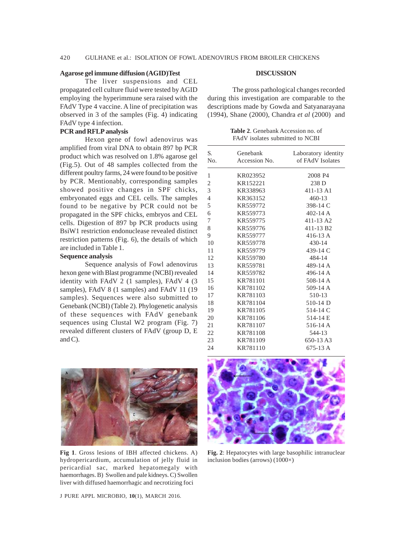# **Agarose gel immune diffusion (AGID)Test**

The liver suspensions and CEL propagated cell culture fluid were tested by AGID employing the hyperimmune sera raised with the FAdV Type 4 vaccine. A line of precipitation was observed in 3 of the samples (Fig. 4) indicating FAdV type 4 infection.

# **PCR and RFLP analysis**

Hexon gene of fowl adenovirus was amplified from viral DNA to obtain 897 bp PCR product which was resolved on 1.8% agarose gel (Fig.5). Out of 48 samples collected from the different poultry farms, 24 were found to be positive by PCR. Mentionably, corresponding samples showed positive changes in SPF chicks, embryonated eggs and CEL cells. The samples found to be negative by PCR could not be propagated in the SPF chicks, embryos and CEL cells. Digestion of 897 bp PCR products using BsiW1 restriction endonuclease revealed distinct restriction patterns (Fig. 6), the details of which are included in Table 1.

## **Sequence analysis**

Sequence analysis of Fowl adenovirus hexon gene with Blast programme (NCBI) revealed identity with FAdV 2 (1 samples), FAdV 4 (3 samples), FAdV 8 (1 samples) and FAdV 11 (19 samples). Sequences were also submitted to Genebank (NCBI) (Table 2). Phylogenetic analysis of these sequences with FAdV genebank sequences using Clustal W2 program (Fig. 7) revealed different clusters of FAdV (group D, E and C).

## **DISCUSSION**

The gross pathological changes recorded during this investigation are comparable to the descriptions made by Gowda and Satyanarayana (1994), Shane (2000), Chandra *et al* (2000) and

**Table 2**. Genebank Accession no. of FAdV isolates submitted to NCBI

| S.<br>Genebank   |               | Laboratory identity       |  |
|------------------|---------------|---------------------------|--|
| N <sub>o</sub> . | Accession No. | of FAdV Isolates          |  |
| 1                | KR023952      | 2008 P4                   |  |
| $\overline{2}$   | KR152221      | 238 D                     |  |
| 3                | KR338963      | $411 - 13$ A <sub>1</sub> |  |
| $\overline{4}$   | KR363152      | $460 - 13$                |  |
| 5                | KR559772      | 398-14 C                  |  |
| 6                | KR559773      | $402 - 14$ A              |  |
| 7                | KR559775      | 411-13 A2                 |  |
| 8                | KR559776      | 411-13 B <sub>2</sub>     |  |
| 9                | KR559777      | $416-13A$                 |  |
| 10               | KR559778      | 430-14                    |  |
| 11               | KR559779      | 439-14 C                  |  |
| 12               | KR559780      | 484-14                    |  |
| 13               | KR559781      | 489-14 A                  |  |
| 14               | KR559782      | 496-14 A                  |  |
| 15               | KR781101      | 508-14 A                  |  |
| 16               | KR781102      | 509-14 A                  |  |
| 17               | KR781103      | 510-13                    |  |
| 18               | KR781104      | 510-14 D                  |  |
| 19               | KR781105      | 514-14 C                  |  |
| 20               | KR781106      | 514-14 E                  |  |
| 21               | KR781107      | 516-14 A                  |  |
| 22               | KR781108      | 544-13                    |  |
| 23               | KR781109      | 650-13A3                  |  |
| 24               | KR781110      | 675-13 A                  |  |



**Fig 1**. Gross lesions of IBH affected chickens. A) hydropericardium, accumulation of jelly fluid in pericardial sac, marked hepatomegaly with haemorrhages. B) Swollen and pale kidneys. C) Swollen liver with diffused haemorrhagic and necrotizing foci



**Fig. 2**: Hepatocytes with large basophilic intranuclear inclusion bodies (arrows) (1000×)

J PURE APPL MICROBIO*,* **10**(1), MARCH 2016.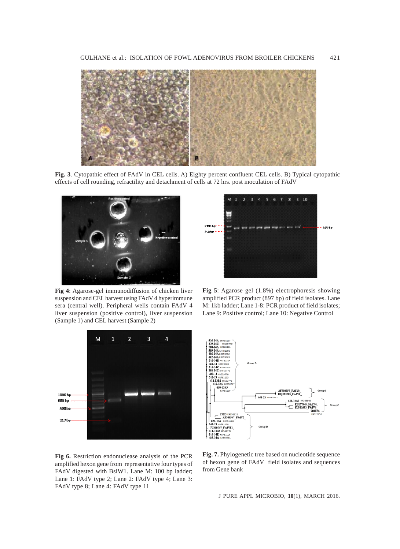

**Fig. 3**. Cytopathic effect of FAdV in CEL cells. A) Eighty percent confluent CEL cells. B) Typical cytopathic effects of cell rounding, refractility and detachment of cells at 72 hrs. post inoculation of FAdV



**Fig 4**: Agarose-gel immunodiffusion of chicken liver suspension and CEL harvest using FAdV 4 hyperimmune sera (central well). Peripheral wells contain FAdV 4 liver suspension (positive control), liver suspension (Sample 1) and CEL harvest (Sample 2)



1  $2 \quad 3$ - 4 6  $310$ 5 L'ISBN Not - ty/tp **Solder** 

**Fig 5**: Agarose gel (1.8%) electrophoresis showing amplified PCR product (897 bp) of field isolates. Lane M: 1kb ladder; Lane 1-8: PCR product of field isolates; Lane 9: Positive control; Lane 10: Negative Control



**Fig 6.** Restriction endonuclease analysis of the PCR amplified hexon gene from representative four types of FAdV digested with BsiW1. Lane M: 100 bp ladder; Lane 1: FAdV type 2; Lane 2: FAdV type 4; Lane 3: FAdV type 8; Lane 4: FAdV type 11

**Fig. 7.** Phylogenetic tree based on nucleotide sequence of hexon gene of FAdV field isolates and sequences from Gene bank

J PURE APPL MICROBIO*,* **10**(1), MARCH 2016.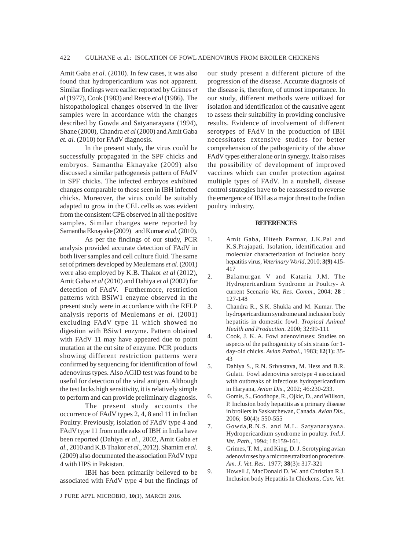Amit Gaba *et al.* (2010). In few cases, it was also found that hydropericardium was not apparent. Similar findings were earlier reported by Grimes *et al* (1977), Cook (1983) and Reece *et al* (1986). The histopathological changes observed in the liver samples were in accordance with the changes described by Gowda and Satyanarayana (1994), Shane (2000), Chandra *et al* (2000) and Amit Gaba et. al. (2010) for FAdV diagnosis.

In the present study, the virus could be successfully propagated in the SPF chicks and embryos. Samantha Eknayake (2009) also discussed a similar pathogenesis pattern of FAdV in SPF chicks. The infected embryos exhibited changes comparable to those seen in IBH infected chicks. Moreover, the virus could be suitably adapted to grow in the CEL cells as was evident from the consistent CPE observed in all the positive samples. Similar changes were reported by Samantha Eknayake (2009) and Kumar *et al*. (2010).

As per the findings of our study, PCR analysis provided accurate detection of FAdV in both liver samples and cell culture fluid. The same set of primers developed by Meulemans *et al*. (2001) were also employed by K.B. Thakor *et al* (2012), Amit Gaba *et al* (2010) and Dahiya *et al* (2002) for detection of FAdV. Furthermore, restriction patterns with BSiW1 enzyme observed in the present study were in accordance with the RFLP analysis reports of Meulemans *et al*. (2001) excluding FAdV type 11 which showed no digestion with BSiw1 enzyme. Pattern obtained with FAdV 11 may have appeared due to point mutation at the cut site of enzyme. PCR products showing different restriction patterns were confirmed by sequencing for identification of fowl adenovirus types. Also AGID test was found to be useful for detection of the viral antigen. Although the test lacks high sensitivity, it is relatively simple to perform and can provide preliminary diagnosis.

The present study accounts the occurrence of FAdV types 2, 4, 8 and 11 in Indian Poultry. Previously, isolation of FAdV type 4 and FAdV type 11 from outbreaks of IBH in India have been reported (Dahiya *et al*., 2002, Amit Gaba *et al*., 2010 and K.B Thakor *et al*., 2012). Shamim *et al*. (2009) also documented the association FAdV type 4 with HPS in Pakistan.

IBH has been primarily believed to be associated with FAdV type 4 but the findings of our study present a different picture of the progression of the disease. Accurate diagnosis of the disease is, therefore, of utmost importance. In our study, different methods were utilized for isolation and identification of the causative agent to assess their suitability in providing conclusive results. Evidence of involvement of different serotypes of FAdV in the production of IBH necessitates extensive studies for better comprehension of the pathogenicity of the above FAdV types either alone or in synergy. It also raises the possibility of development of improved vaccines which can confer protection against multiple types of FAdV. In a nutshell, disease control strategies have to be reassessed to reverse the emergence of IBH as a major threat to the Indian poultry industry.

#### **REFERENCES**

- 1. Amit Gaba, Hitesh Parmar, J.K.Pal and K.S.Prajapati. Isolation, identification and molecular characterization of Inclusion body hepatitis virus, *Veterinary World*, 2010; **3(9)** 415- 417
- 2. Balamurgan V and Kataria J.M. The Hydropericardium Syndrome in Poultry- A current Scenario *Vet. Res. Comm*., 2004; **28** : 127-148
- 3. Chandra R., S.K. Shukla and M. Kumar. The hydropericardium syndrome and inclusion body hepatitis in domestic fowl. *Tropical Animal Health and Production*. 2000; 32:99-111
- 4. Cook, J. K. A. Fowl adenoviruses: Studies on aspects of the pathogenicity of six strains for 1 day-old chicks. *Avian Pathol*., 1983; **12**(1)**:** 35- 43
- 5. Dahiya S., R.N. Srivastava, M. Hess and B.R. Gulati. Fowl adenovirus serotype 4 associated with outbreaks of infectious hydropericardium in Haryana, *Avian Dis*., 2002; 46:230-233.
- 6. Gomis, S., Goodhope, R., Ojkic, D., and Willson, P. Inclusion body hepatitis as a primary disease in broilers in Saskatchewan, Canada. *Avian Dis*., 2006; **50**(4)**:** 550-555
- 7. Gowda,R.N.S. and M.L. Satyanarayana. Hydropericardium syndrome in poultry. *Ind.J*. *Vet. Path*., 1994; 18:159-161.
- 8. Grimes, T. M., and King, D. J. Serotyping avian adenoviruses by a microneutralization procedure. *Am. J. Vet. Res*. 1977; **38**(3)**:** 317-321
- 9. Howell J, MacDonald D. W. and Christian R.J. Inclusion body Hepatitis In Chickens, *Can. Vet.*